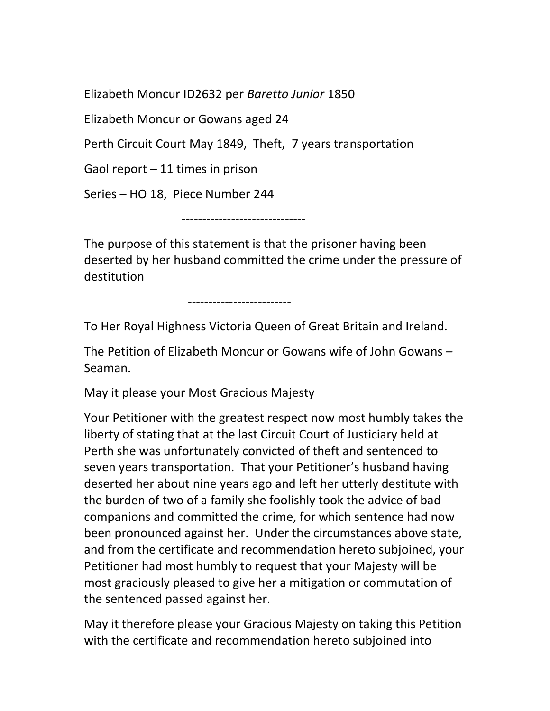Elizabeth Moncur ID2632 per Baretto Junior 1850

Elizabeth Moncur or Gowans aged 24

Perth Circuit Court May 1849, Theft, 7 years transportation

Gaol report – 11 times in prison

Series – HO 18, Piece Number 244

------------------------------

The purpose of this statement is that the prisoner having been deserted by her husband committed the crime under the pressure of destitution

-------------------------

To Her Royal Highness Victoria Queen of Great Britain and Ireland.

The Petition of Elizabeth Moncur or Gowans wife of John Gowans – Seaman.

May it please your Most Gracious Majesty

Your Petitioner with the greatest respect now most humbly takes the liberty of stating that at the last Circuit Court of Justiciary held at Perth she was unfortunately convicted of theft and sentenced to seven years transportation. That your Petitioner's husband having deserted her about nine years ago and left her utterly destitute with the burden of two of a family she foolishly took the advice of bad companions and committed the crime, for which sentence had now been pronounced against her. Under the circumstances above state, and from the certificate and recommendation hereto subjoined, your Petitioner had most humbly to request that your Majesty will be most graciously pleased to give her a mitigation or commutation of the sentenced passed against her.

May it therefore please your Gracious Majesty on taking this Petition with the certificate and recommendation hereto subjoined into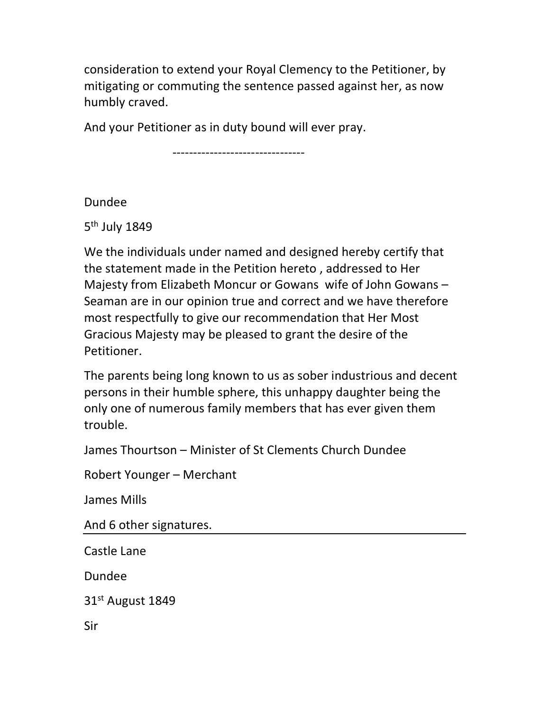consideration to extend your Royal Clemency to the Petitioner, by mitigating or commuting the sentence passed against her, as now humbly craved.

And your Petitioner as in duty bound will ever pray.

--------------------------------

Dundee

5<sup>th</sup> July 1849

We the individuals under named and designed hereby certify that the statement made in the Petition hereto , addressed to Her Majesty from Elizabeth Moncur or Gowans wife of John Gowans – Seaman are in our opinion true and correct and we have therefore most respectfully to give our recommendation that Her Most Gracious Majesty may be pleased to grant the desire of the Petitioner.

The parents being long known to us as sober industrious and decent persons in their humble sphere, this unhappy daughter being the only one of numerous family members that has ever given them trouble.

James Thourtson – Minister of St Clements Church Dundee

Robert Younger – Merchant

James Mills

And 6 other signatures.

Castle Lane

Dundee

31st August 1849

Sir